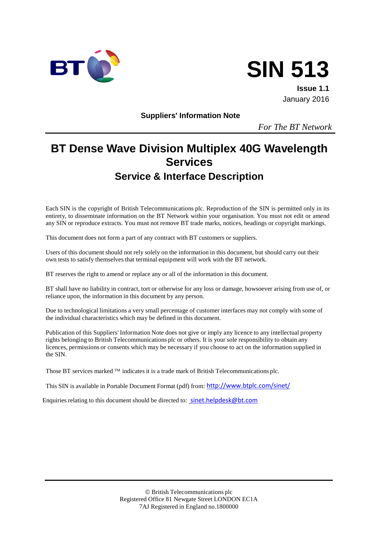



**Issue 1.1** January 2016

**Suppliers' Information Note**

*For The BT Network*

# **BT Dense Wave Division Multiplex 40G Wavelength Services Service & Interface Description**

Each SIN is the copyright of British Telecommunications plc. Reproduction of the SIN is permitted only in its entirety, to disseminate information on the BT Network within your organisation. You must not edit or amend any SIN or reproduce extracts. You must not remove BT trade marks, notices, headings or copyright markings.

This document does not form a part of any contract with BT customers or suppliers.

Users of this document should not rely solely on the information in this document, but should carry out their own tests to satisfy themselves that terminal equipment will work with the BT network.

BT reserves the right to amend or replace any or all of the information in this document.

BT shall have no liability in contract, tort or otherwise for any loss or damage, howsoever arising from use of, or reliance upon, the information in this document by any person.

Due to technological limitations a very small percentage of customer interfaces may not comply with some of the individual characteristics which may be defined in this document.

Publication of this Suppliers' Information Note does not give or imply any licence to any intellectual property rights belonging to British Telecommunications plc or others. It is your sole responsibility to obtain any licences, permissions or consents which may be necessary if you choose to act on the information supplied in the SIN.

Those BT services marked  $TM$  indicates it is a trade mark of British Telecommunications plc.

This SIN is available in Portable Document Format (pdf) from: <http://www.btplc.com/sinet/>

Enquiries relating to this document should be directed to: [sinet.helpdesk@bt.com](mailto:sinet.helpdesk@bt.com)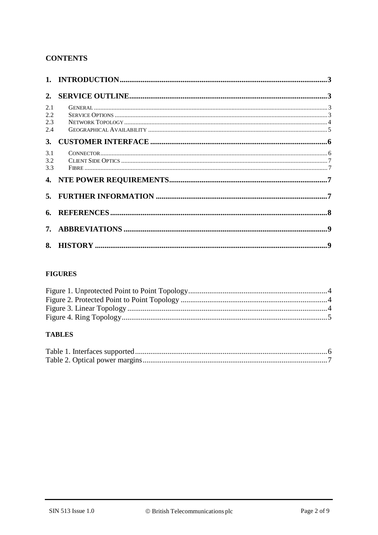## **CONTENTS**

| 2.1 |  |
|-----|--|
| 2.2 |  |
| 2.3 |  |
| 2.4 |  |
| 3.  |  |
| 3.1 |  |
| 3.2 |  |
| 3.3 |  |
|     |  |
|     |  |
|     |  |
|     |  |
|     |  |

## **FIGURES**

## **TABLES**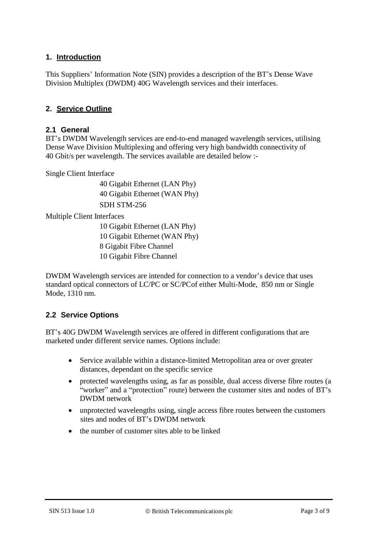## **1. Introduction**

This Suppliers' Information Note (SIN) provides a description of the BT's Dense Wave Division Multiplex (DWDM) 40G Wavelength services and their interfaces.

#### **2. Service Outline**

#### **2.1 General**

BT's DWDM Wavelength services are end-to-end managed wavelength services, utilising Dense Wave Division Multiplexing and offering very high bandwidth connectivity of 40 Gbit/s per wavelength. The services available are detailed below :-

Single Client Interface

40 Gigabit Ethernet (LAN Phy) 40 Gigabit Ethernet (WAN Phy) SDH STM-256

Multiple Client Interfaces

 Gigabit Ethernet (LAN Phy) 10 Gigabit Ethernet (WAN Phy) Gigabit Fibre Channel Gigabit Fibre Channel

DWDM Wavelength services are intended for connection to a vendor's device that uses standard optical connectors of LC/PC or SC/PCof either Multi-Mode, 850 nm or Single Mode, 1310 nm.

## **2.2 Service Options**

BT's 40G DWDM Wavelength services are offered in different configurations that are marketed under different service names. Options include:

- Service available within a distance-limited Metropolitan area or over greater distances, dependant on the specific service
- protected wavelengths using, as far as possible, dual access diverse fibre routes (a "worker" and a "protection" route) between the customer sites and nodes of BT's DWDM network
- unprotected wavelengths using, single access fibre routes between the customers sites and nodes of BT's DWDM network
- the number of customer sites able to be linked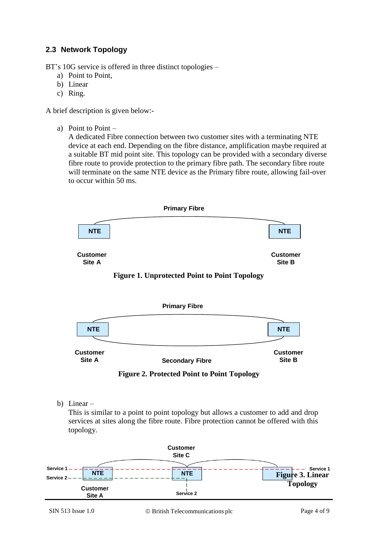## **2.3 Network Topology**

BT's 10G service is offered in three distinct topologies –

- a) Point to Point,
- b) Linear
- c) Ring.

A brief description is given below:-

a) Point to Point –

A dedicated Fibre connection between two customer sites with a terminating NTE device at each end. Depending on the fibre distance, amplification maybe required at a suitable BT mid point site. This topology can be provided with a secondary diverse fibre route to provide protection to the primary fibre path. The secondary fibre route will terminate on the same NTE device as the Primary fibre route, allowing fail-over to occur within 50 ms.



**Figure 2. Protected Point to Point Topology**

b) Linear –

This is similar to a point to point topology but allows a customer to add and drop services at sites along the fibre route. Fibre protection cannot be offered with this topology.

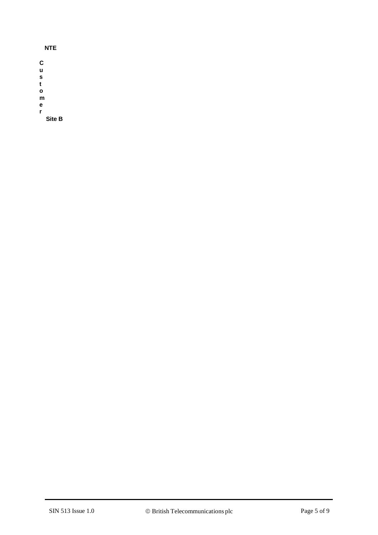| <b>NTE</b> |  |
|------------|--|
| C          |  |
| u          |  |
| s          |  |
| t          |  |
| O          |  |
| m          |  |
| е          |  |
| r          |  |
| Site B     |  |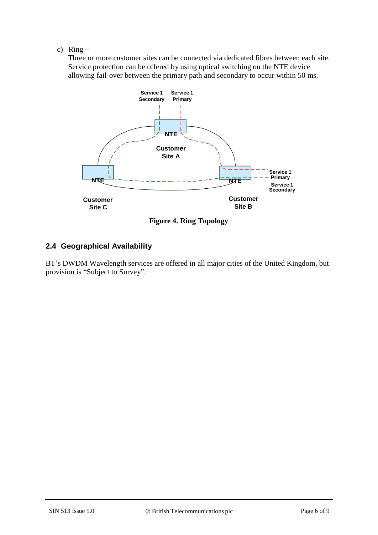c)  $Ring -$ 

Three or more customer sites can be connected via dedicated fibres between each site. Service protection can be offered by using optical switching on the NTE device allowing fail-over between the primary path and secondary to occur within 50 ms.



**Figure 4. Ring Topology**

## **2.4 Geographical Availability**

BT's DWDM Wavelength services are offered in all major cities of the United Kingdom, but provision is "Subject to Survey".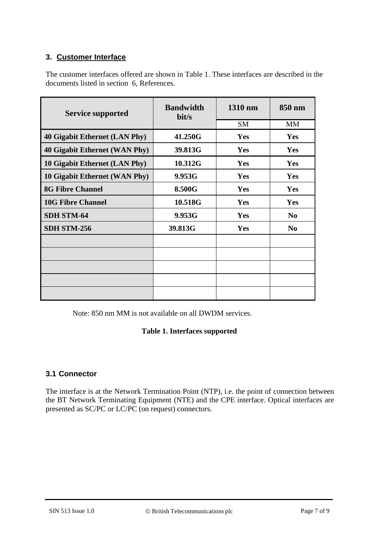## **3. Customer Interface**

The customer interfaces offered are shown in Table 1. These interfaces are described in the documents listed in section 6, References.

| <b>Service supported</b>             | <b>Bandwidth</b><br>bit/s | 1310 nm   | 850 nm         |
|--------------------------------------|---------------------------|-----------|----------------|
|                                      |                           | <b>SM</b> | <b>MM</b>      |
| 40 Gigabit Ethernet (LAN Phy)        | 41.250G                   | Yes       | Yes            |
| <b>40 Gigabit Ethernet (WAN Phy)</b> | 39.813G                   | Yes       | Yes            |
| 10 Gigabit Ethernet (LAN Phy)        | 10.312G                   | Yes       | <b>Yes</b>     |
| 10 Gigabit Ethernet (WAN Phy)        | 9.953G                    | Yes       | <b>Yes</b>     |
| <b>8G Fibre Channel</b>              | 8.500G                    | Yes       | <b>Yes</b>     |
| <b>10G Fibre Channel</b>             | 10.518G                   | Yes       | <b>Yes</b>     |
| <b>SDH STM-64</b>                    | 9.953G                    | Yes       | N <sub>0</sub> |
| <b>SDH STM-256</b>                   | 39.813G                   | Yes       | N <sub>0</sub> |
|                                      |                           |           |                |
|                                      |                           |           |                |
|                                      |                           |           |                |
|                                      |                           |           |                |
|                                      |                           |           |                |

Note: 850 nm MM is not available on all DWDM services.

#### **Table 1. Interfaces supported**

## **3.1 Connector**

The interface is at the Network Termination Point (NTP), i.e. the point of connection between the BT Network Terminating Equipment (NTE) and the CPE interface. Optical interfaces are presented as SC/PC or LC/PC (on request) connectors.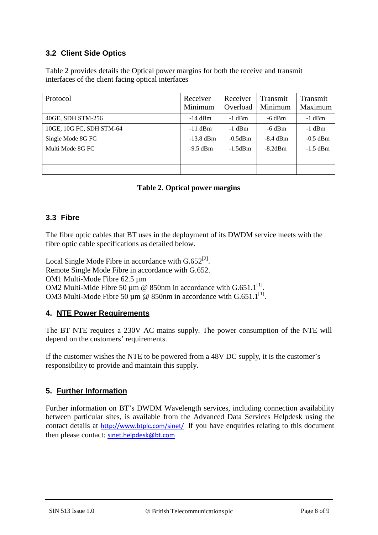## **3.2 Client Side Optics**

Table 2 provides details the Optical power margins for both the receive and transmit interfaces of the client facing optical interfaces

| Protocol                 | Receiver<br>Minimum | Receiver<br>Overload | Transmit<br>Minimum | Transmit<br>Maximum |
|--------------------------|---------------------|----------------------|---------------------|---------------------|
| 40GE, SDH STM-256        | $-14$ dBm           | $-1$ dBm             | $-6$ dBm            | $-1$ dBm            |
| 10GE, 10G FC, SDH STM-64 | $-11$ dBm           | $-1$ dBm             | $-6$ dBm            | $-1$ dBm            |
| Single Mode 8G FC        | $-13.8$ dBm         | $-0.5$ d $Bm$        | $-8.4$ dBm          | $-0.5$ dBm          |
| Multi Mode 8G FC         | $-9.5$ dBm          | $-1.5$ d $Bm$        | $-8.2$ dBm          | $-1.5$ dBm          |
|                          |                     |                      |                     |                     |
|                          |                     |                      |                     |                     |

#### **Table 2. Optical power margins**

## **3.3 Fibre**

The fibre optic cables that BT uses in the deployment of its DWDM service meets with the fibre optic cable specifications as detailed below.

Local Single Mode Fibre in accordance with  $G.652^{[2]}$ . Remote Single Mode Fibre in accordance with G.652. OM1 Multi-Mode Fibre 62.5 µm OM2 Multi-Mide Fibre 50  $\mu$ m @ 850nm in accordance with G.651.1<sup>[1]</sup>. OM3 Multi-Mode Fibre 50  $\mu$ m @ 850nm in accordance with G.651.1<sup>[1]</sup>.

#### **4. NTE Power Requirements**

The BT NTE requires a 230V AC mains supply. The power consumption of the NTE will depend on the customers' requirements.

If the customer wishes the NTE to be powered from a 48V DC supply, it is the customer's responsibility to provide and maintain this supply.

## **5. Further Information**

Further information on BT's DWDM Wavelength services, including connection availability between particular sites, is available from the Advanced Data Services Helpdesk using the contact details at <http://www.btplc.com/sinet/> If you have enquiries relating to this document then please contact: [sinet.helpdesk@bt.com](mailto:sinet.helpdesk@bt.com)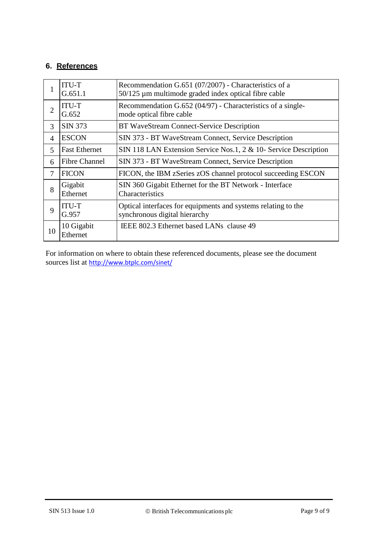## **6. References**

|    | <b>ITU-T</b><br>G.651.1 | Recommendation G.651 (07/2007) - Characteristics of a<br>50/125 µm multimode graded index optical fibre cable |
|----|-------------------------|---------------------------------------------------------------------------------------------------------------|
| 2  | <b>ITU-T</b><br>G.652   | Recommendation G.652 (04/97) - Characteristics of a single-<br>mode optical fibre cable                       |
| 3  | SIN 373                 | BT WaveStream Connect-Service Description                                                                     |
| 4  | <b>ESCON</b>            | SIN 373 - BT WaveStream Connect, Service Description                                                          |
| 5  | <b>Fast Ethernet</b>    | SIN 118 LAN Extension Service Nos.1, 2 & 10- Service Description                                              |
| 6  | <b>Fibre Channel</b>    | SIN 373 - BT WaveStream Connect, Service Description                                                          |
| 7  | <b>FICON</b>            | FICON, the IBM zSeries zOS channel protocol succeeding ESCON                                                  |
| 8  | Gigabit<br>Ethernet     | SIN 360 Gigabit Ethernet for the BT Network - Interface<br>Characteristics                                    |
| 9  | <b>ITU-T</b><br>G.957   | Optical interfaces for equipments and systems relating to the<br>synchronous digital hierarchy                |
| 10 | 10 Gigabit<br>Ethernet  | IEEE 802.3 Ethernet based LANs clause 49                                                                      |

For information on where to obtain these referenced documents, please see the document sources list at <http://www.btplc.com/sinet/>